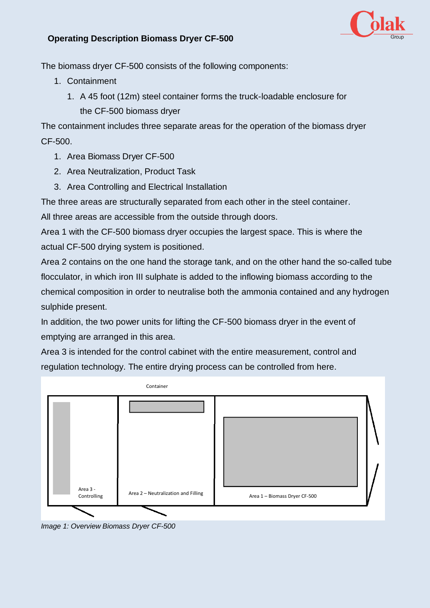

## **Operating Description Biomass Dryer CF-500**

The biomass dryer CF-500 consists of the following components:

- 1. Containment
	- 1. A 45 foot (12m) steel container forms the truck-loadable enclosure for the CF-500 biomass dryer

The containment includes three separate areas for the operation of the biomass dryer CF-500.

- 1. Area Biomass Dryer CF-500
- 2. Area Neutralization, Product Task
- 3. Area Controlling and Electrical Installation

The three areas are structurally separated from each other in the steel container.

All three areas are accessible from the outside through doors.

Area 1 with the CF-500 biomass dryer occupies the largest space. This is where the actual CF-500 drying system is positioned.

Area 2 contains on the one hand the storage tank, and on the other hand the so-called tube flocculator, in which iron III sulphate is added to the inflowing biomass according to the chemical composition in order to neutralise both the ammonia contained and any hydrogen sulphide present.

In addition, the two power units for lifting the CF-500 biomass dryer in the event of emptying are arranged in this area.

Area 3 is intended for the control cabinet with the entire measurement, control and regulation technology. The entire drying process can be controlled from here.



*Image 1: Overview Biomass Dryer CF-500*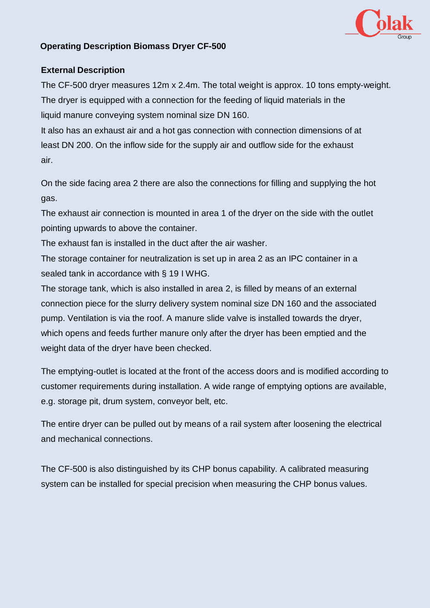

## **Operating Description Biomass Dryer CF-500**

## **External Description**

The CF-500 dryer measures 12m x 2.4m. The total weight is approx. 10 tons empty-weight. The dryer is equipped with a connection for the feeding of liquid materials in the liquid manure conveying system nominal size DN 160.

It also has an exhaust air and a hot gas connection with connection dimensions of at least DN 200. On the inflow side for the supply air and outflow side for the exhaust air.

On the side facing area 2 there are also the connections for filling and supplying the hot gas.

The exhaust air connection is mounted in area 1 of the dryer on the side with the outlet pointing upwards to above the container.

The exhaust fan is installed in the duct after the air washer.

The storage container for neutralization is set up in area 2 as an IPC container in a sealed tank in accordance with § 19 I WHG.

The storage tank, which is also installed in area 2, is filled by means of an external connection piece for the slurry delivery system nominal size DN 160 and the associated pump. Ventilation is via the roof. A manure slide valve is installed towards the dryer, which opens and feeds further manure only after the dryer has been emptied and the weight data of the dryer have been checked.

The emptying-outlet is located at the front of the access doors and is modified according to customer requirements during installation. A wide range of emptying options are available, e.g. storage pit, drum system, conveyor belt, etc.

The entire dryer can be pulled out by means of a rail system after loosening the electrical and mechanical connections.

The CF-500 is also distinguished by its CHP bonus capability. A calibrated measuring system can be installed for special precision when measuring the CHP bonus values.